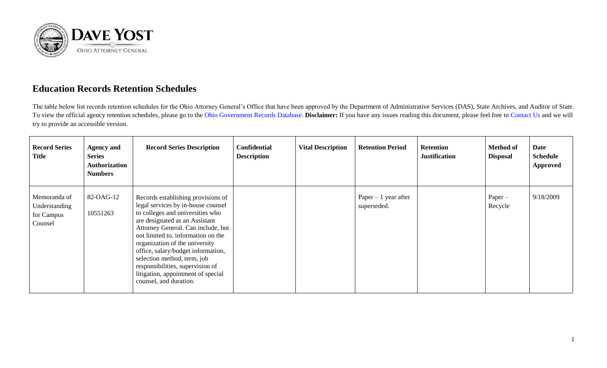

## **Education Records Retention Schedules**

The table below list records retention schedules for the Ohio Attorney General's Office that have been approved by the Department of Administrative Services (DAS), State Archives, and Auditor of State. To view the official agency retention schedules, please go to the [Ohio Government Records Database.](https://apps.das.ohio.gov/RIMS/GeneralSchedule) **Disclaimer:** If you have any issues reading this document, please feel free to [Contact Us](https://www.ohioattorneygeneral.gov/About-AG/Contact) and we will try to provide an accessible version.

| <b>Record Series</b><br><b>Title</b>                   | <b>Agency and</b><br><b>Series</b><br><b>Authorization</b><br><b>Numbers</b> | <b>Record Series Description</b>                                                                                                                                                                                                                                                                                                                                                                                                      | <b>Confidential</b><br><b>Description</b> | <b>Vital Description</b> | <b>Retention Period</b>              | <b>Retention</b><br><b>Justification</b> | <b>Method of</b><br><b>Disposal</b> | Date<br><b>Schedule</b><br>Approved |
|--------------------------------------------------------|------------------------------------------------------------------------------|---------------------------------------------------------------------------------------------------------------------------------------------------------------------------------------------------------------------------------------------------------------------------------------------------------------------------------------------------------------------------------------------------------------------------------------|-------------------------------------------|--------------------------|--------------------------------------|------------------------------------------|-------------------------------------|-------------------------------------|
| Memoranda of<br>Understanding<br>for Campus<br>Counsel | 82-OAG-12<br>10551263                                                        | Records establishing provisions of<br>legal services by in-house counsel<br>to colleges and universities who<br>are designated as an Assistant<br>Attorney General. Can include, but<br>not limited to, information on the<br>organization of the university<br>office, salary/budget information,<br>selection method, term, job<br>responsibilities, supervision of<br>litigation, appointment of special<br>counsel, and duration. |                                           |                          | Paper $-1$ year after<br>superseded. |                                          | $Paper -$<br>Recycle                | 9/18/2009                           |